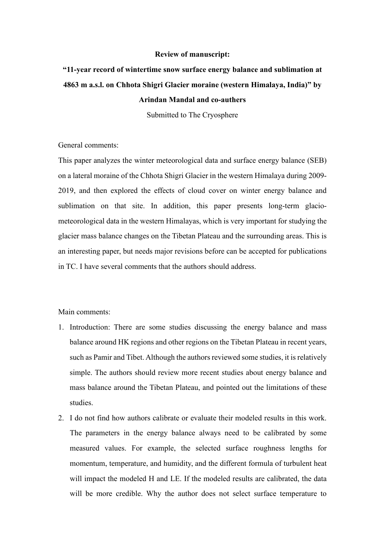## **Review of manuscript:**

## **"11-year record of wintertime snow surface energy balance and sublimation at 4863 m a.s.l. on Chhota Shigri Glacier moraine (western Himalaya, India)" by Arindan Mandal and co-authers**

Submitted to The Cryosphere

General comments:

This paper analyzes the winter meteorological data and surface energy balance (SEB) on a lateral moraine of the Chhota Shigri Glacier in the western Himalaya during 2009- 2019, and then explored the effects of cloud cover on winter energy balance and sublimation on that site. In addition, this paper presents long-term glaciometeorological data in the western Himalayas, which is very important for studying the glacier mass balance changes on the Tibetan Plateau and the surrounding areas. This is an interesting paper, but needs major revisions before can be accepted for publications in TC. I have several comments that the authors should address.

Main comments:

- 1. Introduction: There are some studies discussing the energy balance and mass balance around HK regions and other regions on the Tibetan Plateau in recent years, such as Pamir and Tibet. Although the authors reviewed some studies, it is relatively simple. The authors should review more recent studies about energy balance and mass balance around the Tibetan Plateau, and pointed out the limitations of these studies.
- 2. I do not find how authors calibrate or evaluate their modeled results in this work. The parameters in the energy balance always need to be calibrated by some measured values. For example, the selected surface roughness lengths for momentum, temperature, and humidity, and the different formula of turbulent heat will impact the modeled H and LE. If the modeled results are calibrated, the data will be more credible. Why the author does not select surface temperature to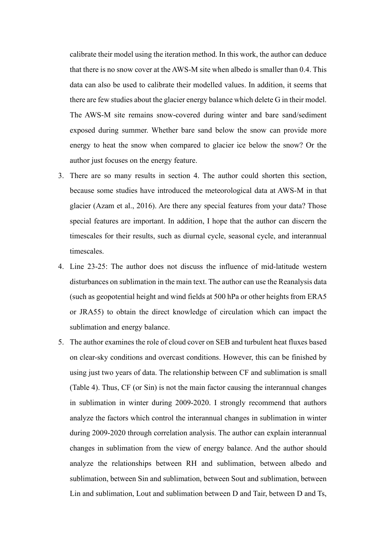calibrate their model using the iteration method. In this work, the author can deduce that there is no snow cover at the AWS-M site when albedo is smaller than 0.4. This data can also be used to calibrate their modelled values. In addition, it seems that there are few studies about the glacier energy balance which delete G in their model. The AWS-M site remains snow-covered during winter and bare sand/sediment exposed during summer. Whether bare sand below the snow can provide more energy to heat the snow when compared to glacier ice below the snow? Or the author just focuses on the energy feature.

- 3. There are so many results in section 4. The author could shorten this section, because some studies have introduced the meteorological data at AWS-M in that glacier (Azam et al., 2016). Are there any special features from your data? Those special features are important. In addition, I hope that the author can discern the timescales for their results, such as diurnal cycle, seasonal cycle, and interannual timescales.
- 4. Line 23-25: The author does not discuss the influence of mid-latitude western disturbances on sublimation in the main text. The author can use the Reanalysis data (such as geopotential height and wind fields at 500 hPa or other heights from ERA5 or JRA55) to obtain the direct knowledge of circulation which can impact the sublimation and energy balance.
- 5. The author examines the role of cloud cover on SEB and turbulent heat fluxes based on clear-sky conditions and overcast conditions. However, this can be finished by using just two years of data. The relationship between CF and sublimation is small (Table 4). Thus, CF (or Sin) is not the main factor causing the interannual changes in sublimation in winter during 2009-2020. I strongly recommend that authors analyze the factors which control the interannual changes in sublimation in winter during 2009-2020 through correlation analysis. The author can explain interannual changes in sublimation from the view of energy balance. And the author should analyze the relationships between RH and sublimation, between albedo and sublimation, between Sin and sublimation, between Sout and sublimation, between Lin and sublimation, Lout and sublimation between D and Tair, between D and Ts,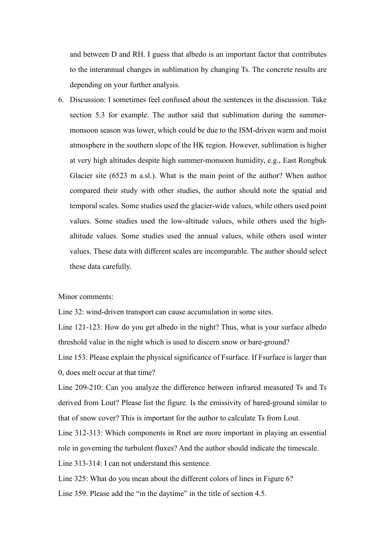and between D and RH. I guess that albedo is an important factor that contributes to the interannual changes in sublimation by changing Ts. The concrete results are depending on your further analysis.

6. Discussion: I sometimes feel confused about the sentences in the discussion. Take section 5.3 for example. The author said that sublimation during the summermonsoon season was lower, which could be due to the ISM-driven warm and moist atmosphere in the southern slope of the HK region. However, sublimation is higher at very high altitudes despite high summer-monsoon humidity, e.g., East Rongbuk Glacier site (6523 m a.sl.). What is the main point of the author? When author compared their study with other studies, the author should note the spatial and temporal scales. Some studies used the glacier-wide values, while others used point values. Some studies used the low-altitude values, while others used the highaltitude values. Some studies used the annual values, while others used winter values. These data with different scales are incomparable. The author should select these data carefully.

Minor comments:

Line 32: wind-driven transport can cause accumulation in some sites.

Line 121-123: How do you get albedo in the night? Thus, what is your surface albedo threshold value in the night which is used to discern snow or bare-ground?

Line 153: Please explain the physical significance of Fsurface. If Fsurface is larger than 0, does melt occur at that time?

Line 209-210: Can you analyze the difference between infrared measured Ts and Ts derived from Lout? Please list the figure. Is the emissivity of bared-ground similar to that of snow cover? This is important for the author to calculate Ts from Lout.

Line 312-313: Which components in Rnet are more important in playing an essential role in governing the turbulent fluxes? And the author should indicate the timescale.

Line 313-314: I can not understand this sentence.

Line 325: What do you mean about the different colors of lines in Figure 6?

Line 359. Please add the "in the daytime" in the title of section 4.5.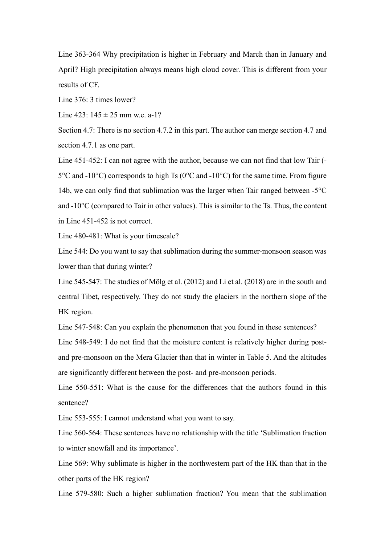Line 363-364 Why precipitation is higher in February and March than in January and April? High precipitation always means high cloud cover. This is different from your results of CF.

Line 376: 3 times lower?

Line 423:  $145 \pm 25$  mm w.e. a-1?

Section 4.7: There is no section 4.7.2 in this part. The author can merge section 4.7 and section 4.7.1 as one part.

Line 451-452: I can not agree with the author, because we can not find that low Tair (- 5°C and -10°C) corresponds to high Ts (0°C and -10°C) for the same time. From figure 14b, we can only find that sublimation was the larger when Tair ranged between -5°C and -10°C (compared to Tair in other values). This is similar to the Ts. Thus, the content in Line 451-452 is not correct.

Line 480-481: What is your timescale?

Line 544: Do you want to say that sublimation during the summer-monsoon season was lower than that during winter?

Line 545-547: The studies of Mölg et al. (2012) and Li et al. (2018) are in the south and central Tibet, respectively. They do not study the glaciers in the northern slope of the HK region.

Line 547-548: Can you explain the phenomenon that you found in these sentences? Line 548-549: I do not find that the moisture content is relatively higher during postand pre-monsoon on the Mera Glacier than that in winter in Table 5. And the altitudes are significantly different between the post- and pre-monsoon periods.

Line 550-551: What is the cause for the differences that the authors found in this sentence?

Line 553-555: I cannot understand what you want to say.

Line 560-564: These sentences have no relationship with the title 'Sublimation fraction to winter snowfall and its importance'.

Line 569: Why sublimate is higher in the northwestern part of the HK than that in the other parts of the HK region?

Line 579-580: Such a higher sublimation fraction? You mean that the sublimation